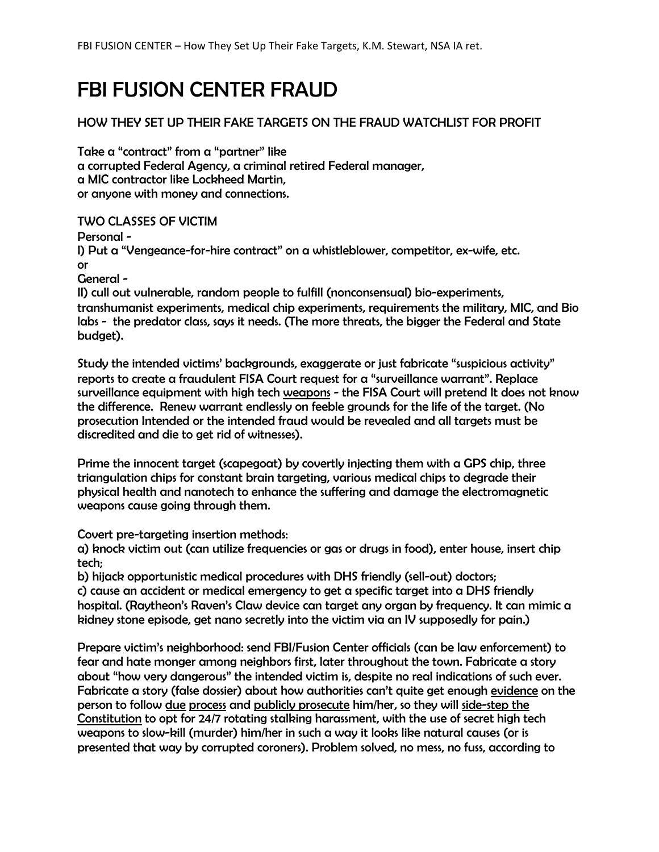# FBI FUSION CENTER FRAUD

# HOW THEY SET UP THEIR FAKE TARGETS ON THE FRAUD WATCHLIST FOR PROFIT

Take a "contract" from a "partner" like a corrupted Federal Agency, a criminal retired Federal manager, a MIC contractor like Lockheed Martin, or anyone with money and connections.

# TWO CLASSES OF VICTIM

Personal -

I) Put a "Vengeance-for-hire contract" on a whistleblower, competitor, ex-wife, etc. or

General -

II) cull out vulnerable, random people to fulfill (nonconsensual) bio-experiments, transhumanist experiments, medical chip experiments, requirements the military, MIC, and Bio labs - the predator class, says it needs. (The more threats, the bigger the Federal and State budget).

Study the intended victims' backgrounds, exaggerate or just fabricate "suspicious activity" reports to create a fraudulent FISA Court request for a "surveillance warrant". Replace surveillance equipment with high tech weapons - the FISA Court will pretend It does not know the difference. Renew warrant endlessly on feeble grounds for the life of the target. (No prosecution Intended or the intended fraud would be revealed and all targets must be discredited and die to get rid of witnesses).

Prime the innocent target (scapegoat) by covertly injecting them with a GPS chip, three triangulation chips for constant brain targeting, various medical chips to degrade their physical health and nanotech to enhance the suffering and damage the electromagnetic weapons cause going through them.

Covert pre-targeting insertion methods:

a) knock victim out (can utilize frequencies or gas or drugs in food), enter house, insert chip tech;

b) hijack opportunistic medical procedures with DHS friendly (sell-out) doctors;

c) cause an accident or medical emergency to get a specific target into a DHS friendly hospital. (Raytheon's Raven's Claw device can target any organ by frequency. It can mimic a kidney stone episode, get nano secretly into the victim via an IV supposedly for pain.)

Prepare victim's neighborhood: send FBI/Fusion Center officials (can be law enforcement) to fear and hate monger among neighbors first, later throughout the town. Fabricate a story about "how very dangerous" the intended victim is, despite no real indications of such ever. Fabricate a story (false dossier) about how authorities can't quite get enough evidence on the person to follow due process and publicly prosecute him/her, so they will side-step the Constitution to opt for 24/7 rotating stalking harassment, with the use of secret high tech weapons to slow-kill (murder) him/her in such a way it looks like natural causes (or is presented that way by corrupted coroners). Problem solved, no mess, no fuss, according to